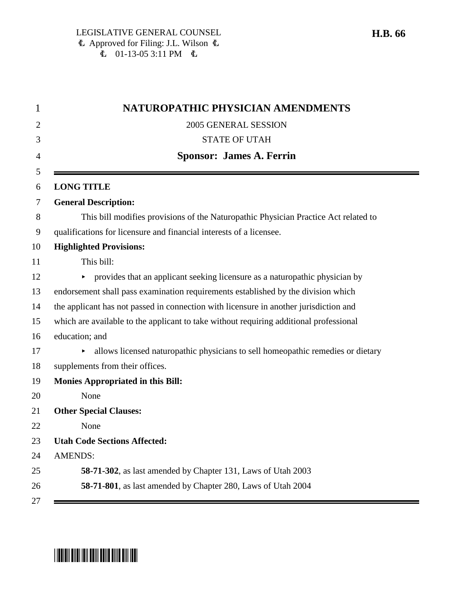|                | NATUROPATHIC PHYSICIAN AMENDMENTS                                                      |
|----------------|----------------------------------------------------------------------------------------|
|                | 2005 GENERAL SESSION                                                                   |
|                | <b>STATE OF UTAH</b>                                                                   |
|                | <b>Sponsor: James A. Ferrin</b>                                                        |
|                | <b>LONG TITLE</b>                                                                      |
|                | <b>General Description:</b>                                                            |
|                | This bill modifies provisions of the Naturopathic Physician Practice Act related to    |
|                | qualifications for licensure and financial interests of a licensee.                    |
|                | <b>Highlighted Provisions:</b>                                                         |
|                | This bill:                                                                             |
|                | • provides that an applicant seeking licensure as a naturopathic physician by          |
|                | endorsement shall pass examination requirements established by the division which      |
|                | the applicant has not passed in connection with licensure in another jurisdiction and  |
|                | which are available to the applicant to take without requiring additional professional |
|                | education; and                                                                         |
|                | allows licensed naturopathic physicians to sell homeopathic remedies or dietary        |
|                | supplements from their offices.                                                        |
|                | <b>Monies Appropriated in this Bill:</b>                                               |
|                | None                                                                                   |
|                | <b>Other Special Clauses:</b>                                                          |
|                | None                                                                                   |
|                | <b>Utah Code Sections Affected:</b>                                                    |
| <b>AMENDS:</b> |                                                                                        |
|                | 58-71-302, as last amended by Chapter 131, Laws of Utah 2003                           |
|                | 58-71-801, as last amended by Chapter 280, Laws of Utah 2004                           |

# \*HB0066\*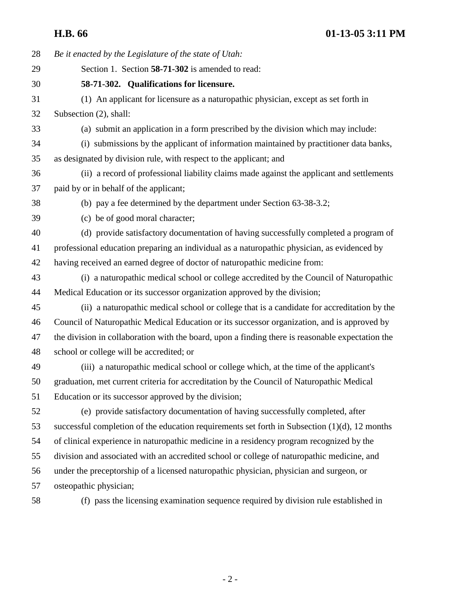28 *Be it enacted by the Legislature of the state of Utah:* 29 Section 1. Section **58-71-302** is amended to read: 30 **58-71-302. Qualifications for licensure.** 31 (1) An applicant for licensure as a naturopathic physician, except as set forth in 32 Subsection (2), shall: 33 (a) submit an application in a form prescribed by the division which may include: 34 (i) submissions by the applicant of information maintained by practitioner data banks, 35 as designated by division rule, with respect to the applicant; and 36 (ii) a record of professional liability claims made against the applicant and settlements 37 paid by or in behalf of the applicant; 38 (b) pay a fee determined by the department under Section 63-38-3.2; 39 (c) be of good moral character; 40 (d) provide satisfactory documentation of having successfully completed a program of 41 professional education preparing an individual as a naturopathic physician, as evidenced by 42 having received an earned degree of doctor of naturopathic medicine from: 43 (i) a naturopathic medical school or college accredited by the Council of Naturopathic 44 Medical Education or its successor organization approved by the division; 45 (ii) a naturopathic medical school or college that is a candidate for accreditation by the 46 Council of Naturopathic Medical Education or its successor organization, and is approved by 47 the division in collaboration with the board, upon a finding there is reasonable expectation the 48 school or college will be accredited; or 49 (iii) a naturopathic medical school or college which, at the time of the applicant's 50 graduation, met current criteria for accreditation by the Council of Naturopathic Medical 51 Education or its successor approved by the division; 52 (e) provide satisfactory documentation of having successfully completed, after 53 successful completion of the education requirements set forth in Subsection (1)(d), 12 months 54 of clinical experience in naturopathic medicine in a residency program recognized by the 55 division and associated with an accredited school or college of naturopathic medicine, and 56 under the preceptorship of a licensed naturopathic physician, physician and surgeon, or 57 osteopathic physician; 58 (f) pass the licensing examination sequence required by division rule established in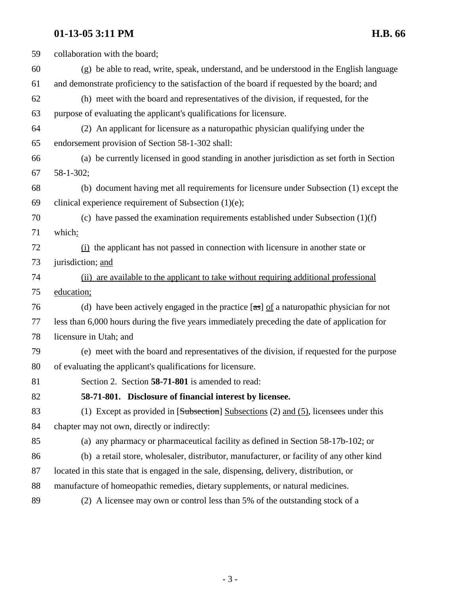## **01-13-05 3:11 PM H.B. 66**

| 59 | collaboration with the board;                                                                    |
|----|--------------------------------------------------------------------------------------------------|
| 60 | (g) be able to read, write, speak, understand, and be understood in the English language         |
| 61 | and demonstrate proficiency to the satisfaction of the board if requested by the board; and      |
| 62 | (h) meet with the board and representatives of the division, if requested, for the               |
| 63 | purpose of evaluating the applicant's qualifications for licensure.                              |
| 64 | (2) An applicant for licensure as a naturopathic physician qualifying under the                  |
| 65 | endorsement provision of Section 58-1-302 shall:                                                 |
| 66 | (a) be currently licensed in good standing in another jurisdiction as set forth in Section       |
| 67 | 58-1-302;                                                                                        |
| 68 | (b) document having met all requirements for licensure under Subsection (1) except the           |
| 69 | clinical experience requirement of Subsection $(1)(e)$ ;                                         |
| 70 | (c) have passed the examination requirements established under Subsection $(1)(f)$               |
| 71 | which:                                                                                           |
| 72 | $(i)$ the applicant has not passed in connection with licensure in another state or              |
| 73 | jurisdiction; and                                                                                |
| 74 | (ii) are available to the applicant to take without requiring additional professional            |
| 75 | education;                                                                                       |
| 76 | (d) have been actively engaged in the practice $[\text{as}]$ of a naturopathic physician for not |
| 77 | less than 6,000 hours during the five years immediately preceding the date of application for    |
| 78 | licensure in Utah; and                                                                           |
| 79 | (e) meet with the board and representatives of the division, if requested for the purpose        |
| 80 | of evaluating the applicant's qualifications for licensure.                                      |
| 81 | Section 2. Section 58-71-801 is amended to read:                                                 |
| 82 | 58-71-801. Disclosure of financial interest by licensee.                                         |
| 83 | (1) Except as provided in $[Subsection]$ Subsections (2) and (5), licensees under this           |
| 84 | chapter may not own, directly or indirectly:                                                     |
| 85 | (a) any pharmacy or pharmaceutical facility as defined in Section 58-17b-102; or                 |
| 86 | (b) a retail store, wholesaler, distributor, manufacturer, or facility of any other kind         |
| 87 | located in this state that is engaged in the sale, dispensing, delivery, distribution, or        |
| 88 | manufacture of homeopathic remedies, dietary supplements, or natural medicines.                  |
| 89 | (2) A licensee may own or control less than 5% of the outstanding stock of a                     |